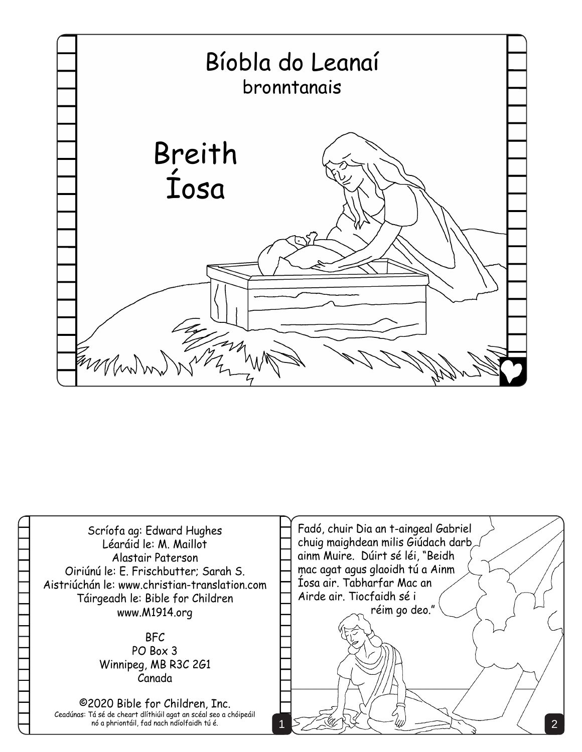

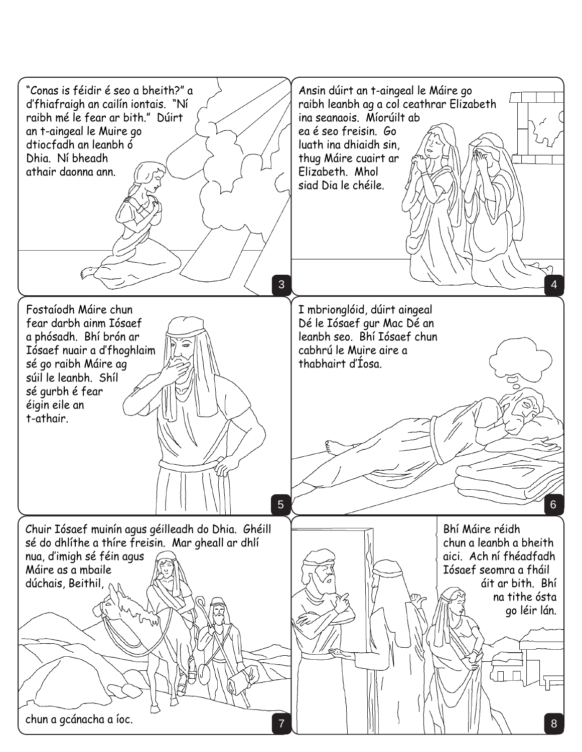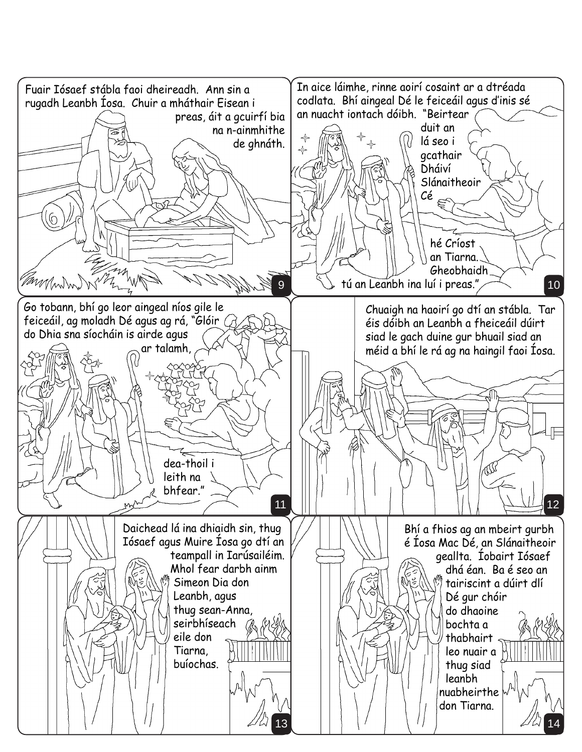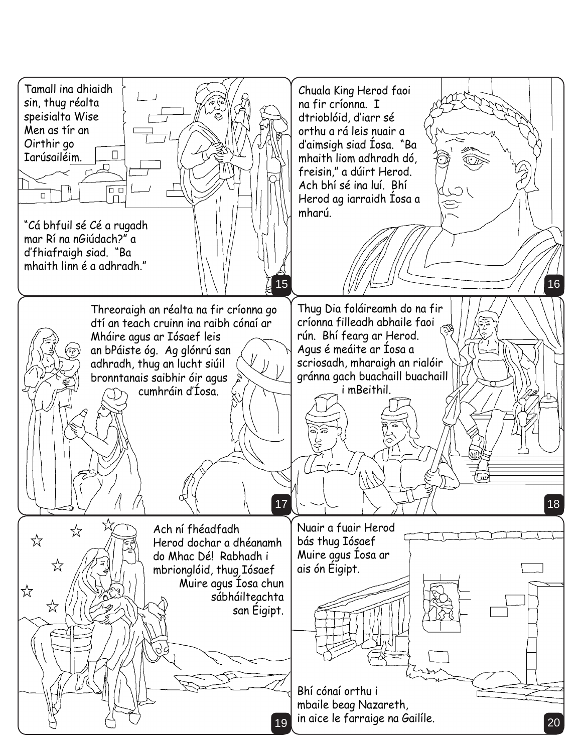